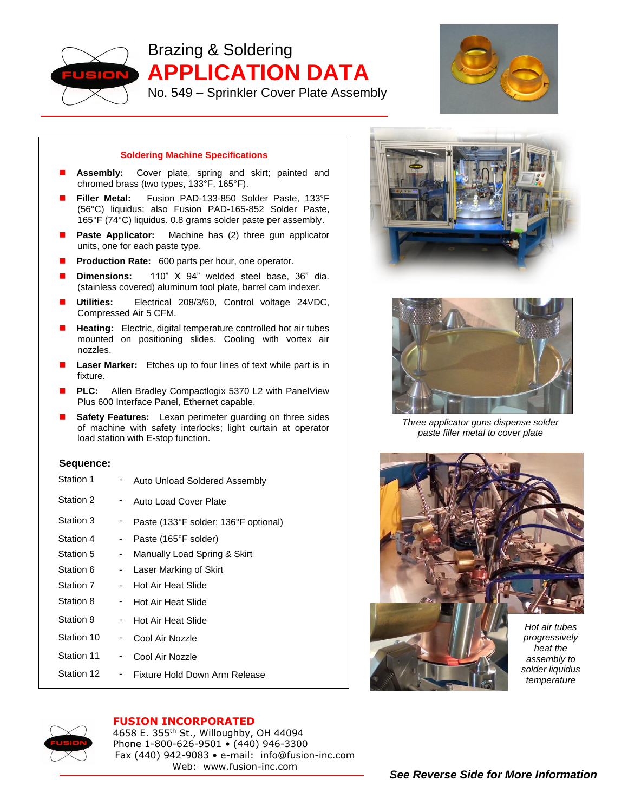

Brazing & Soldering **APPLICATION DATA**

No. 549 – Sprinkler Cover Plate Assembly



## **Soldering Machine Specifications**

- **Assembly:** Cover plate, spring and skirt; painted and chromed brass (two types, 133°F, 165°F).
- **Filler Metal:** Fusion PAD-133-850 Solder Paste, 133°F (56°C) liquidus; also Fusion PAD-165-852 Solder Paste, 165°F (74°C) liquidus. 0.8 grams solder paste per assembly.
- **Paste Applicator:** Machine has (2) three gun applicator units, one for each paste type.
- **Production Rate:** 600 parts per hour, one operator.
- **Dimensions:** 110" X 94" welded steel base, 36" dia. (stainless covered) aluminum tool plate, barrel cam indexer.
- **Utilities:** Electrical 208/3/60, Control voltage 24VDC, Compressed Air 5 CFM.
- **Heating:** Electric, digital temperature controlled hot air tubes mounted on positioning slides. Cooling with vortex air nozzles.
- **Laser Marker:** Etches up to four lines of text while part is in fixture.
- **PLC:** Allen Bradley Compactlogix 5370 L2 with PanelView Plus 600 Interface Panel, Ethernet capable.
- **Safety Features:** Lexan perimeter guarding on three sides of machine with safety interlocks; light curtain at operator load station with E-stop function.

## **Sequence:**

| Station 1  |     | Auto Unload Soldered Assembly        |
|------------|-----|--------------------------------------|
| Station 2  | . . | Auto Load Cover Plate                |
| Station 3  | ۰.  | Paste (133°F solder; 136°F optional) |
| Station 4  | - 1 | Paste (165°F solder)                 |
| Station 5  | - 1 | Manually Load Spring & Skirt         |
| Station 6  |     | - Laser Marking of Skirt             |
| Station 7  |     | Hot Air Heat Slide                   |
| Station 8  | . . | Hot Air Heat Slide                   |
| Station 9  | . . | Hot Air Heat Slide                   |
| Station 10 | ۰.  | Cool Air Nozzle                      |
| Station 11 | ۰.  | Cool Air Nozzle                      |
| Station 12 | ۰.  | Fixture Hold Down Arm Release        |





*Three applicator guns dispense solder paste filler metal to cover plate*





## **FUSION INCORPORATED**